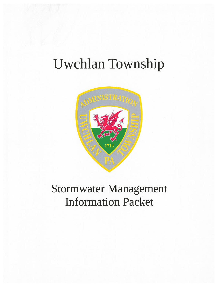## Uwchlan Township



### Information Packet Stormwater Management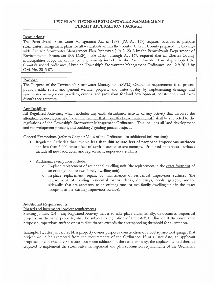#### UWCHLAN TOWNSHIP STORMWATER MANAGEMENT PERMIT APPLICATION PACKAGE

#### Regulations:

The Pennsylvania Stormwater Management Act of 1978 (PA Act 167) requires counties to prepare stormwater managemen<sup>t</sup> <sup>p</sup>lans for all watersheds within the county. Chester County prepared the County wide Act 167 Stormwater Management Plan (approved July 2, 2013 by the Pennsylvania Department of Environmental Protection (PA DEP)). PA DEP, through Act 167, required that all Chester County municipalities adopt the ordinance requirements included in the Plan. Uwchlan Township adopted the County's model ordinance, Uwchlan Township's Stormwater Management Ordinance, on 12-9-2013 by Ord. No. 2013-07.

#### Purpose:

The Purpose of the Township's Stormwater Management (SWM) Ordinance requirements is to protect public health, safety and general welfare, property and water quality by implementing drainage and stormwater managemen<sup>t</sup> practices, criteria, and provisions for land development, construction and earth disturbance activities.

#### Applicability:

All Regulated Activities, which includes any earth disturbance activity or any activity that involves the alteration or development of land in <sup>a</sup> manner that may affect stormwater runoff, shall be subjected to the regulations of the Township's Stormwater Management Ordinance. This includes all land development and redevelopment projects, and building / grading permit projects.

General Exemptions (refer to Chapter 214-6 of the Ordinance for additional information):

- • Regulated Activities that involve less than 400 square feet of proposed impervious surfaces and less than 5,000 square feet of earth disturbance are exempt. Proposed impervious surfaces include all new, additional and replacement impervious surfaces.
- • Additional exemptions include:
	- <sup>o</sup> In-place replacement of residential dwelling unit (the replacement in the exact footprint of an existing one- or two-family dwelling unit).
	- <sup>o</sup> In-place replacement, repair, or maintenance of residential impervious surfaces (the replacement of existing residential patios, decks, driveways, poois, garages, and/or sidewalks that are accessory to an existing one- or two-family dwelling unit in the exact footprint of the existing impervious surface).

#### Additional Requirements:

#### Phased and incremental project requirements

Starting January 2014, any Regulated Activity that is to take place incrementally, or occurs in sequential projects on the same property, shall be subject to regulation of the SWM Ordinance if the cumulative proposed impervious surface or earth disturbance exceeds the corresponding threshold for exemption.

Example: If, after January 2014, <sup>a</sup> property owner proposes construction of <sup>a</sup> 300 square-foot garage, that project would be exempted from the requirements of the Ordinance. If, at <sup>a</sup> later date, an applicant proposes to construct <sup>a</sup> 900 square-foot room addition on the same property, the applicant would then be required to implement the stormwater managemen<sup>t</sup> and plan submission requirements of the Ordinance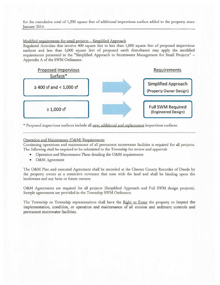for the cumulative total of 1,200 square feet of additional impervious surface added to the property since January 2014.

#### Modified requirements for small projects — Simplified Approach

Regulated Activities that involve 400 square feet to iess than 1,000 square feet of proposed impervious surfaces and less than 5,000 square feet of proposed earth disturbance may apply the modified requirements presented in the "Simplified Approach to Stormwater Management for Small Projects" — Appendix A of the SWM Ordinance.



\* Proposed impervious surfaces include all new, additional and replacement impervious surfaces.

#### Operation and Maintenance (O&M) Requirements

Continuing operations and maintenance of all permanen<sup>t</sup> stormwater facilities is required for all projects. The following shall be required to be submitted to the Township for review and approval:

- •Operation and Maintenance Plans detailing the O&M requirements
- O&M Agreement

The O&M Plan and executed Agreement shall be recorded at the Chester County Recorder of Deeds by the property owner as <sup>a</sup> restrictive covenant that runs with the land and shall be binding upon the landowner and any heirs or future owners.

O&M Agreements are required for all projects (Simplified Approach and Full SWM design projects). Sample agreements arc provided in the Township SWM Ordinance.

The Township or Township representatives shall have the Right to Enter the property to inspect the implementation, condition, or operation and maintenance of all erosion and sediment controls and permanen<sup>t</sup> stormwater facilities.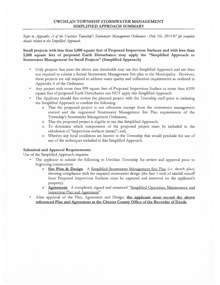#### UWCHLAN TOWNSHIP STORMWATER MANAGEMENT SIMPLIFIED APPROACH SUMMARY

Refer to Appendix A of the Uwchlan Township's Stormwater Management Ordinance - Ord. No. 2013-07 for complete details related to the Simplified Approach.

Small projects with less than 1,000 square feet of Proposed Impervious Surfaces and with less than 5,000 square feet of proposed Earth Disturbance may apply the "Simplified Approach to Stormwater Management for Small Projects" (Simplified Approach).

- • Only projects that meet the above size thresholds may use this Simplified Approach and are then not required to submit <sup>a</sup> formal Stormwater Management Site plan to the Municipality. However, these projects are still required to address water quality and infiltration requirements as outlined in Appendix A of the Ordinance.
- • Any project with more than 999 square feet of Proposed Impervious Surface or more than 4,999 square feet of proposed Earth Disturbance can NOT apply this Simplified Approach.
- • The Applicant should first review the planned project with the Township staff prior to initiating the Simplified Approach to confirm the following:
	- <sup>o</sup> That the proposed project is not otherwise exemp<sup>t</sup> from the stormwater managemen<sup>t</sup> control and the engineered Stormwater Management Site Plan requirements of the Township's Stormwater Management Ordinance;
	- <sup>o</sup> That the proposed project is eligible to use this Simplified Approach;
	- <sup>o</sup> To determine which components of the proposed project must be included in the calculation of "impervious surfaces (areas)"; and,
	- <sup>o</sup> Whether any local conditions are known to the Township that would preclude the use of any of the techniques included in this Simplified Approach.

#### Submittal and Approval Requirements:

Use of the Simplified Approach requires:

- • The applicant to submit the following to Uwchlan Township for review and approval prior to beginning construction:
	- <sup>o</sup> Site Plan & Design. A Simplified Stormwater Management Site Plan (i.e. sketch plan) showing compliance with the required stormwater design (the first 1-inch of rainfall runoff from Proposed Impervious Surfaces must be captured and removed on the applicant's property).
	- <sup>o</sup> Agreement. A completed, signed and notarized "Simplified Operation. Maintenance and Inspection Plan and Agreement".
- •After approval of the Plan, Agreement and Design, the applicant must record the above referenced Plan and Agreement at the Chester County Office of the Recorder of Deeds.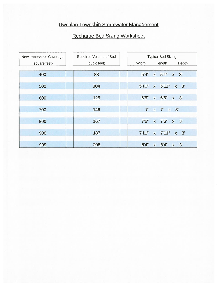#### Uwchlan Township Stormwater Management

#### Recharge Bed Sizing Worksheet

| New Impervious Coverage | Required Volume of Bed | <b>Typical Bed Sizing</b>                      |  |  |  |  |  |  |
|-------------------------|------------------------|------------------------------------------------|--|--|--|--|--|--|
| (square feet)           | (cubic feet)           | Width<br>Length<br>Depth                       |  |  |  |  |  |  |
|                         |                        |                                                |  |  |  |  |  |  |
| 400                     | 83                     | 5'4"<br>5'4"<br>$x \quad 3'$<br>$\mathsf{X}$   |  |  |  |  |  |  |
|                         |                        |                                                |  |  |  |  |  |  |
| 500                     | 104                    | 5'11"<br>$x \quad 5'11"$<br>$x \quad 3'$       |  |  |  |  |  |  |
|                         |                        |                                                |  |  |  |  |  |  |
| 600                     | 125                    | 6'6"<br>$x \quad 3'$<br>6'6"<br>$\mathsf{X}$   |  |  |  |  |  |  |
|                         |                        |                                                |  |  |  |  |  |  |
| 700                     | 146                    | 7 <sup>1</sup><br>x 7' x 3'                    |  |  |  |  |  |  |
|                         |                        |                                                |  |  |  |  |  |  |
| 800                     | 167                    | 7'6''<br>7'6''<br>$x \quad 3'$<br>$\mathsf{X}$ |  |  |  |  |  |  |
|                         |                        |                                                |  |  |  |  |  |  |
| 900                     | 187                    | 7'11"<br>$x \quad 7'11"$<br>$x \quad 3'$       |  |  |  |  |  |  |
|                         |                        |                                                |  |  |  |  |  |  |
| 999                     | 208                    | 8'4''<br>8'4''<br>$x \quad 3'$<br>$\mathsf{X}$ |  |  |  |  |  |  |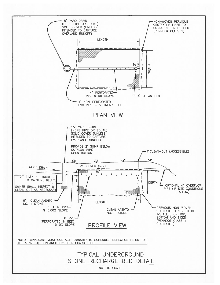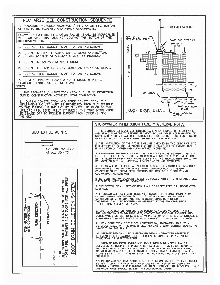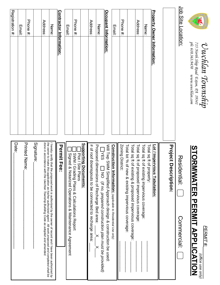

# *Uwchlan Township*  UWChlan TownShip<br>715 North Ship Road Exton, PA 19341<br>ph: 610.363.9450 avan unchlan.com *715 North Ship Road Exton, PA 19341*

 $\overline{\phantom{a}}$ *(office use only)*

# **PERMIT APPLICATION**<br>
STORMWATER<br>
PERMIT APPLICATION **STORMWATER PERMIT APPLICATION**

| Registration #: | <b>Email:</b> | Phone #:              |            | Address:                                                                                                                                                                                        | Name:                                                                                                      | <u>Contractor Information:</u> | Email:                                                   | Phone #:                                                       |                       | Address:                                               | Name:                                                                                                                                                            | <u>Occupant Information:</u>                                    | <b>Email:</b>                                                         | Phone #:                                                                  |                                                            | Address:                                        | Name:                                                                          | <b>Property Owner Information:</b> |                             | Job Site Location:                  |
|-----------------|---------------|-----------------------|------------|-------------------------------------------------------------------------------------------------------------------------------------------------------------------------------------------------|------------------------------------------------------------------------------------------------------------|--------------------------------|----------------------------------------------------------|----------------------------------------------------------------|-----------------------|--------------------------------------------------------|------------------------------------------------------------------------------------------------------------------------------------------------------------------|-----------------------------------------------------------------|-----------------------------------------------------------------------|---------------------------------------------------------------------------|------------------------------------------------------------|-------------------------------------------------|--------------------------------------------------------------------------------|------------------------------------|-----------------------------|-------------------------------------|
| Date:           |               | <b>Printed Name</b> : | Signature: | the owner to make this application as his/her authorized agent.  All work proposed and completed shall be<br>done in accordance with the Uwchlan Township Building Code as adopted and amended. | I hereby certify that the proposed work is authorized by the owner of record and I have been authorized by | <b>Permit Fee:</b>             | Signed<br>& Notarized Operations & Maintenance Agreement | SWM / Grading Plans & Calculations Report<br>Plot / Site Plans | Supporting Documents: | # of roof downspouts to be connected to recharge area: | $\Box$ YES $\Box$ NO ( <i>If no, prepared construc</i><br>Proposed dimensions of Recharge Bed area:<br>] NO (If no, prepared construction plan must be provided) | Will Twp SWM Simplified Approach design & construction be used: | <b>Construction Information:</b> (applicable to Residential Use only) | Zoning District:<br>Total lot % of<br>new & existing impervious coverage: | Total sq ft of<br>existing & proposed impervious coverage: | Total sq ft of<br>proposed impervious coverage: | Total sq ft of<br>Total sq ft of<br>existing impervious coverage:<br>property: | Lot / Impervi<br>ious Tabulation:  | <b>Project Description:</b> | <b>Residential</b> :<br>Commercial: |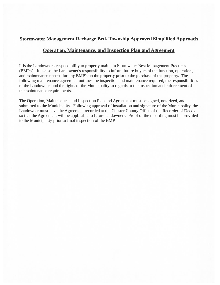#### Stormwater Management Recharge Bed- Township Approved Simplified Approach

#### Operation, Maintenance, and Inspection Plan and Agreement

It is the Landowner's responsibility to properly maintain Stormwater Best Management Practices (BMP's). It is also the Landowner's responsibility to inform future buyers of the function, operation, and maintenance needed for any BMP's on the property prior to the purchase of the property. The following maintenance agreemen<sup>t</sup> outlines the inspection and maintenance required, the responsibilities of the Landowner, and the rights of the Municipality in regards to the inspection and enforcement of the maintenance requirements.

The Operation, Maintenance, and Inspection Plan and Agreement must be signed, notarized, and submitted to the Municipality. Following approval of installation and signature of the Municipality, the Landowner must have the Agreement recorded at the Chester County Office of the Recorder of Deeds so that the Agreement will be applicable to future landowners. Proof of the recording must be provided to the Municipality prior to final inspection of the BMP.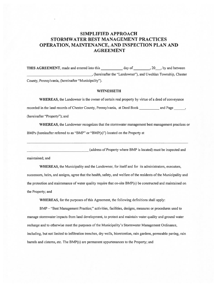# SIMPLIFIED APPROACH STORMWATER BEST MANAGEMENT PRACTICES OPERATION, MAINTENANCE, AND INSPECTION PLAN AND AGREEMENT THIS AGREEMENT, made and entered into this \_\_\_\_\_\_\_\_\_\_\_\_ day of , 20, by and between \_\_\_\_\_\_\_\_\_\_\_\_\_\_\_\_\_\_\_\_\_\_\_\_\_\_\_\_\_\_\_\_\_\_\_\_\_\_ recorded in the land records of Chester County, Pennsylvania, at Deed Book and Page \_\_\_\_\_\_

(hereinafter the "Landowner"), and Uwchlan Township, Chester County, Pennsylvania, (hereinafter "Municipality").

#### **WITNESSETH**

WHEREAS, the Landowner is the owner of certain real property by virtue of <sup>a</sup> deed of conveyance (hereinafter "Property"); and

WHEREAS, the Landowner recognizes that the stormwater managemen<sup>t</sup> best managemen<sup>t</sup> practices or BMPs (hereinafter referred to as "BMP" or "BMP(s)") located on the Property at

(address of Property where BMP is located) must be inspected and

maintained; and

WHEREAS, the Municipality and the Landowner, for itself and for its administrators, executors, successors, heirs, and assigns, agree that the health, safety, and welfare of the residents of the Municipality and the protection and maintenance of water quality require that on-site BMP(s) be constructed and maintained on the Property; and

WHEREAS, for the purposes of this Agreement, the following definitions shall apply:

BMP — "Best Management Practice;" activities, facilities, designs, measures or procedures used to manage stormwater impacts from land development, to protect and maintain water quality and ground water recharge and to otherwise meet the purposes of the Municipality's Stormwater Management Ordinance, including, but not limited to infiltration trenches, dry wells, bioretention, rain gardens, permeable paving, rain barrels and cisterns, etc. The BMP(s) are permanen<sup>t</sup> appurtenances to the Property; and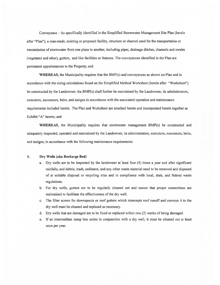Conveyance — As specifically identified in the Simplified Stormwater Management Site Plan (herein after "Plan"), <sup>a</sup> man-made, existing or proposed facility, structure or channel used for the transportation or transmission of stormwater from one place to another, including pipes, drainage ditches, channels and swales (vegetated and other), gutters, and like facilities or features. The conveyances identified in the Plan are permanen<sup>t</sup> appurtenances to the Property; and

WHEREAS, the Municipality requires that the BMP(s) and conveyances as shown on Plan and in accordance with the sizing calculations found on the Simplified Method Worksheet (herein after "Worksheet") be constructed by the Landowner; the BMP(s) shall further be maintained by the Landowner, its administrators, executors, successors, heirs, and assigns in accordance with the associated operation and maintenance requirements included herein. The Plan and Worksheet are attached hereto and incorporated herein together as Exhibit "A" hereto; and

WHEREAS, the Municipality requires that stormwater managemen<sup>t</sup> BMP(s) be constructed and adequately inspected, operated and maintained by the Landowner, its administrators, executors, successors, heirs, and assigns, in accordance with the following maintenance requirements:

#### 1. Dry Wells (aka Recharge Bed)

- a. Dry wells are to be inspected by the landowner at least four (4) times <sup>a</sup> year and after significant rainfalls, and debris, trash, sediment, and any other waste material need to be removed and disposed of at suitable disposal or recycling sites and in compliance with local, state, and federal waste regulations.
- b. For dry wells, gutters are to be regularly cleaned out and ensure that proper connections are maintained to facilitate the effectiveness of the dry well.
- c. The filter screen for downspouts or roof gutters which intercepts roof runoff and conveys it to the dry well must be cleaned and replaced as necessary.
- d. Dry wells that are damaged are to be fixed or replaced within two (2) weeks of being damaged.
- e. If an intermediate sump box exists in conjunction with <sup>a</sup> dry well, it must be cleaned out at least once per year.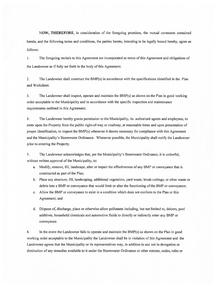NOW, THEREFORE, in consideration of the foregoing promises, the mutual covenants contained herein, and the following terms and conditions, the parties hereto, intending to be legally bound hereby, agree as follows:

I. The foregoing recitals to this Agreement are incorporated as terms ofthis Agreement and obligations of the Landowner as if fully set forth in the body of this Agreement.

2. The Landowner shall construct the BMP(s) in accordance with the specifications identified in the Plan and Worksheet.

3. The Landowner shall inspect, operate and maintain the BMP(s) as shown on the Plan in good working order acceptable to the Municipality and in accordance with the specific inspection and maintenance requirements outlined in this Agreement.

4. The Landowner hereby grants permission to the Municipality, its authorized agents and employees, to enter upon the Property from the public right-of-way or roadway, at reasonable times and upon presentation of proper identification, to inspect the BMP(s) whenever it deems necessary for compliance with this Agreement and the Municipality's Storrnwater Ordinance. Whenever possible, the Municipality shall notify the Landowner prior to entering the Property.

5. The Landowner acknowledges that, per the Municipality's Stormwater Ordinance, it is unlawful, without written approval of the Municipality, to:

- a. Modify, remove, fill, landscape, alter or impair the effectiveness of any BMP or conveyance that is constructed as part of the Plan;
- b. Place any structure, fill, landscaping, additional vegetation, yard waste, brush cuttings, or other waste or debris into a BMP or conveyance that would limit or alter the functioning of the BMP or conveyance;
- c. Allow the BMP or conveyance to exist in <sup>a</sup> condition which does not conform to the Plan or this Agreement; and
- d. Dispose of discharge, place or otherwise allow pollutants including, but not limited to, deicers, pool additives, household chemicals and automotive fluids to directly or indirectly enter any BMP or conveyance.

6. In the event the Landowner fails to operate and maintain the BMP(s) as shown on the Plan in good working order acceptable to the Municipality the Landowner shall be in violation ofthis Agreement and the Landowner agrees that the Municipality or its representatives may, in addition to and not in derogation or diminution of any remedies available to it under the Stormwater Ordinance or other statutes, codes, rules or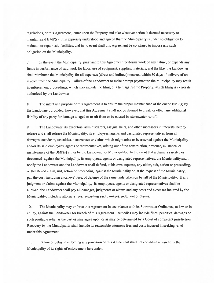regulations, or this Agreement, enter upon the Property and take whatever action is deemed necessary to maintain said BMP(s). It is expressly understood and agreed that the Municipality is under no obligation to maintain or repair said facilities, and in no event shall this Agreement be construed to impose any such obligation on the Municipality.

7. In the event the Municipality, pursuan<sup>t</sup> to this Agreement, performs work of any nature, or expends any funds in performance ofsaid work for labor, use of equipment, supplies, materials, and the like, the Landowner shall reimburse the Municipality for all expenses (direct and indirect) incurred within 30 days of delivery of an invoice from the Municipality. Failure of the Landowner to make prompt payment to the Municipality may result in enforcement proceedings, which may include the filing of <sup>a</sup> lien against the Property, which filing is expressly authorized by the Landowner.

8. The intent and purpose of this Agreement is to ensure the proper maintenance of the onsite BMP(s) by the Landowner; provided, however, that this Agreement shall not be deemed to create or effect any additional liability of any party for damage alleged to result from or be caused by stormwater runoff.

9. The Landowner, its executors, administrators, assigns, heirs, and other successors in interests, hereby release and shall release the Municipality, its employees, agents and designated representatives from all damages, accidents, casualties, occurrences or claims which might arise or be asserted against the Municipality and/or its said employees, agents or representatives, arising out of the construction, presence, existence, or maintenance ofthe BMP(s) either by the Landowner or Municipality. In the event that <sup>a</sup> claim is asserted or threatened against the Municipality, its employees, agents or designated representatives, the Municipality shall notify the Landowner and the Landowner shall defend, at his own expense, any claim, suit, action or proceeding, or threatened claim, suit, action or proceeding against the Municipality or, at the reques<sup>t</sup> ofthe Municipality, pay the cost, including attorneys' fees, of defense of the same undertaken on behalf of the Municipality. If any judgment or claims against the Municipality, its employees, agents or designated representatives shall be allowed, the Landowner shall pay all damages, judgments or claims and any costs and expenses incurred by the Municipality, including attorneys fees, regarding said damages, judgment or claims.

10. The Municipality may enforce this Agreement in accordance with its Stormwater Ordinance, at law or in equity, against the Landowner for breach of this Agreement. Remedies may include fines, penalties, damages or such equitable relief as the parties may agree upon or as may be determined by <sup>a</sup> Court of competent jurisdiction. Recovery by the Municipality shall include its reasonable attorneys fees and costs incurred in seeking relief under this Agreement.

II. failure or delay in enforcing any provision ofthis Agreement shall not constitute <sup>a</sup> waiver by the Municipality of its rights of enforcement hereunder.